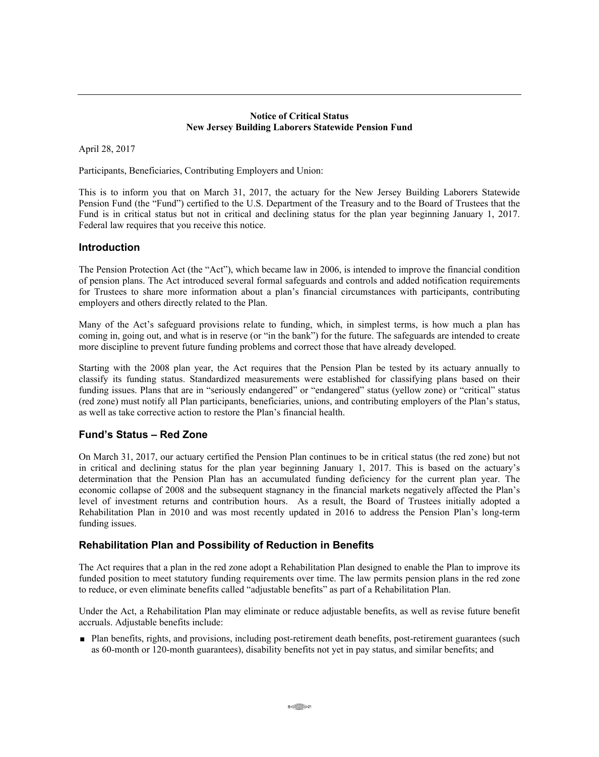### **Notice of Critical Status New Jersey Building Laborers Statewide Pension Fund**

April 28, 2017

Participants, Beneficiaries, Contributing Employers and Union:

This is to inform you that on March 31, 2017, the actuary for the New Jersey Building Laborers Statewide Pension Fund (the "Fund") certified to the U.S. Department of the Treasury and to the Board of Trustees that the Fund is in critical status but not in critical and declining status for the plan year beginning January 1, 2017. Federal law requires that you receive this notice.

## **Introduction**

The Pension Protection Act (the "Act"), which became law in 2006, is intended to improve the financial condition of pension plans. The Act introduced several formal safeguards and controls and added notification requirements for Trustees to share more information about a plan's financial circumstances with participants, contributing employers and others directly related to the Plan.

Many of the Act's safeguard provisions relate to funding, which, in simplest terms, is how much a plan has coming in, going out, and what is in reserve (or "in the bank") for the future. The safeguards are intended to create more discipline to prevent future funding problems and correct those that have already developed.

Starting with the 2008 plan year, the Act requires that the Pension Plan be tested by its actuary annually to classify its funding status. Standardized measurements were established for classifying plans based on their funding issues. Plans that are in "seriously endangered" or "endangered" status (yellow zone) or "critical" status (red zone) must notify all Plan participants, beneficiaries, unions, and contributing employers of the Plan's status, as well as take corrective action to restore the Plan's financial health.

## **Fund's Status – Red Zone**

On March 31, 2017, our actuary certified the Pension Plan continues to be in critical status (the red zone) but not in critical and declining status for the plan year beginning January 1, 2017. This is based on the actuary's determination that the Pension Plan has an accumulated funding deficiency for the current plan year. The economic collapse of 2008 and the subsequent stagnancy in the financial markets negatively affected the Plan's level of investment returns and contribution hours. As a result, the Board of Trustees initially adopted a Rehabilitation Plan in 2010 and was most recently updated in 2016 to address the Pension Plan's long-term funding issues.

## **Rehabilitation Plan and Possibility of Reduction in Benefits**

The Act requires that a plan in the red zone adopt a Rehabilitation Plan designed to enable the Plan to improve its funded position to meet statutory funding requirements over time. The law permits pension plans in the red zone to reduce, or even eliminate benefits called "adjustable benefits" as part of a Rehabilitation Plan.

Under the Act, a Rehabilitation Plan may eliminate or reduce adjustable benefits, as well as revise future benefit accruals. Adjustable benefits include:

 Plan benefits, rights, and provisions, including post-retirement death benefits, post-retirement guarantees (such as 60-month or 120-month guarantees), disability benefits not yet in pay status, and similar benefits; and